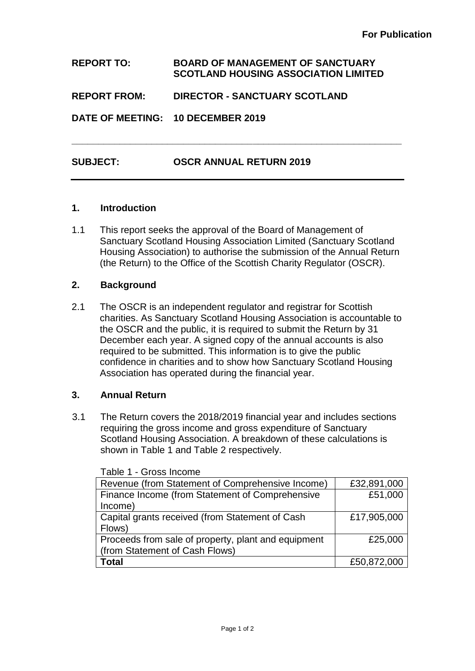**REPORT TO: BOARD OF MANAGEMENT OF SANCTUARY SCOTLAND HOUSING ASSOCIATION LIMITED REPORT FROM: DIRECTOR - SANCTUARY SCOTLAND DATE OF MEETING: 10 DECEMBER 2019**

**\_\_\_\_\_\_\_\_\_\_\_\_\_\_\_\_\_\_\_\_\_\_\_\_\_\_\_\_\_\_\_\_\_\_\_\_\_\_\_\_\_\_\_\_\_\_\_\_\_\_\_\_\_\_\_\_\_\_\_\_\_\_**

# **SUBJECT: OSCR ANNUAL RETURN 2019**

## **1. Introduction**

1.1 This report seeks the approval of the Board of Management of Sanctuary Scotland Housing Association Limited (Sanctuary Scotland Housing Association) to authorise the submission of the Annual Return (the Return) to the Office of the Scottish Charity Regulator (OSCR).

## **2. Background**

2.1 The OSCR is an independent regulator and registrar for Scottish charities. As Sanctuary Scotland Housing Association is accountable to the OSCR and the public, it is required to submit the Return by 31 December each year. A signed copy of the annual accounts is also required to be submitted. This information is to give the public confidence in charities and to show how Sanctuary Scotland Housing Association has operated during the financial year.

#### **3. Annual Return**

3.1 The Return covers the 2018/2019 financial year and includes sections requiring the gross income and gross expenditure of Sanctuary Scotland Housing Association. A breakdown of these calculations is shown in Table 1 and Table 2 respectively.

#### Table 1 - Gross Income

| Revenue (from Statement of Comprehensive Income)    | £32,891,000 |
|-----------------------------------------------------|-------------|
| Finance Income (from Statement of Comprehensive     | £51,000     |
| Income)                                             |             |
| Capital grants received (from Statement of Cash     | £17,905,000 |
| Flows)                                              |             |
| Proceeds from sale of property, plant and equipment | £25,000     |
| (from Statement of Cash Flows)                      |             |
| <b>Total</b>                                        | £50,872,000 |